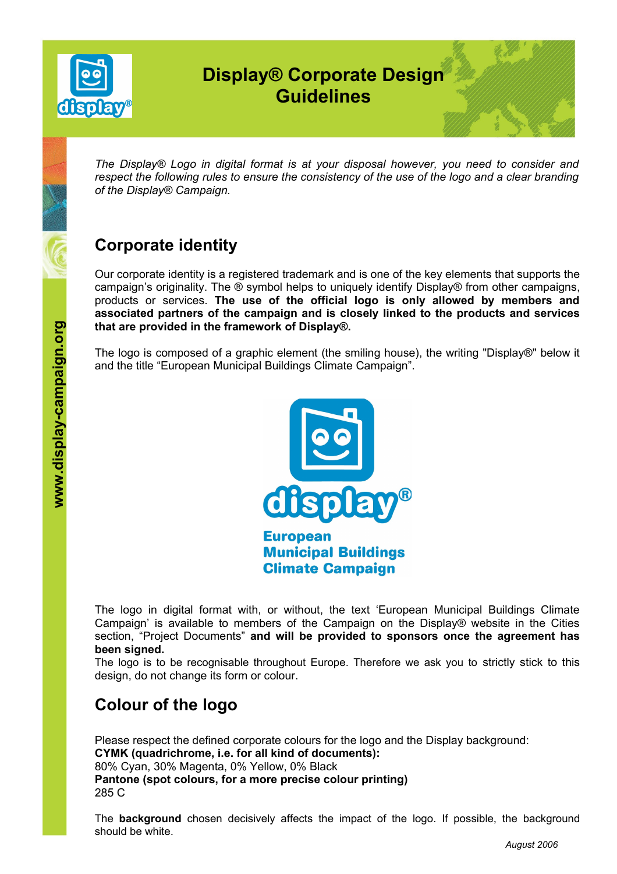

# **Display® Corporate Design Guidelines**

*The Display® Logo in digital format is at your disposal however, you need to consider and respect the following rules to ensure the consistency of the use of the logo and a clear branding of the Display® Campaign.*

#### **Corporate identity**

Our corporate identity is a registered trademark and is one of the key elements that supports the campaign's originality. The ® symbol helps to uniquely identify Display® from other campaigns, products or services. **The use of the official logo is only allowed by members and associated partners of the campaign and is closely linked to the products and services that are provided in the framework of Display®.**

The logo is composed of a graphic element (the smiling house), the writing "Display®" below it and the title "European Municipal Buildings Climate Campaign".



The logo in digital format with, or without, the text 'European Municipal Buildings Climate Campaign' is available to members of the Campaign on the Display® website in the Cities section, "Project Documents" **and will be provided to sponsors once the agreement has been signed.**

The logo is to be recognisable throughout Europe. Therefore we ask you to strictly stick to this design, do not change its form or colour.

### **Colour of the logo**

Please respect the defined corporate colours for the logo and the Display background: **CYMK (quadrichrome, i.e. for all kind of documents):** 80% Cyan, 30% Magenta, 0% Yellow, 0% Black **Pantone (spot colours, for a more precise colour printing)** 285 C

The **background** chosen decisively affects the impact of the logo. If possible, the background should be white.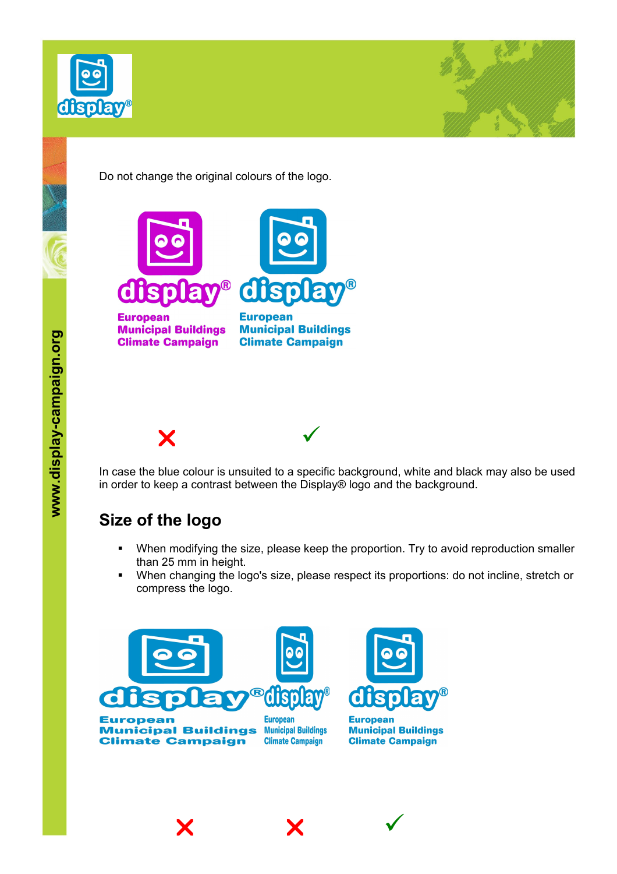



Do not change the original colours of the logo.



**Municipal Buildings Climate Campaign** 

**Municipal Buildings Climate Campaign** 



In case the blue colour is unsuited to a specific background, white and black may also be used in order to keep a contrast between the Display® logo and the background.

## **Size of the logo**

- When modifying the size, please keep the proportion. Try to avoid reproduction smaller than 25 mm in height.
- When changing the logo's size, please respect its proportions: do not incline, stretch or compress the logo.



 $\times$   $\times$   $\times$